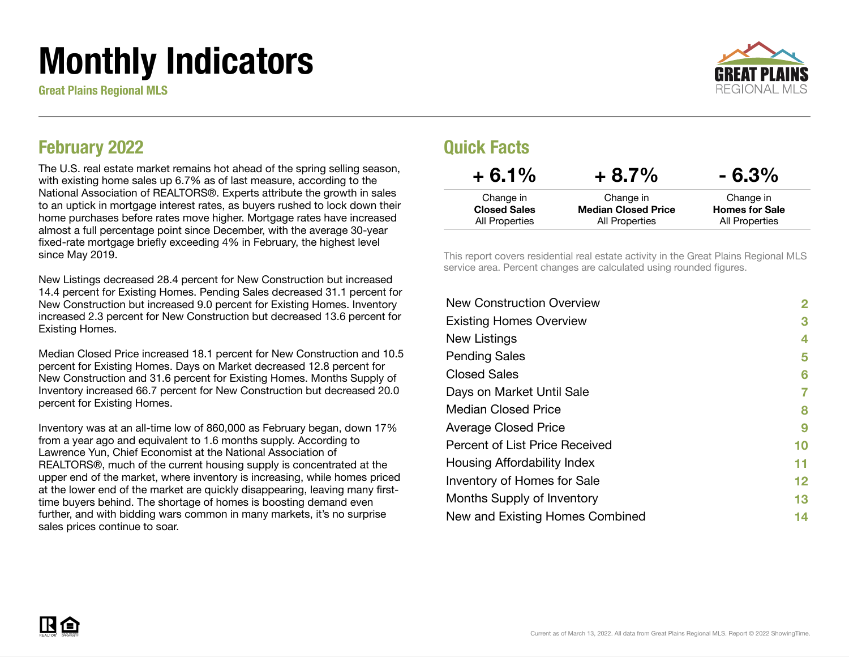# Monthly Indicators

Great Plains Regional MLS



### February 2022

The U.S. real estate market remains hot ahead of the spring selling season, with existing home sales up 6.7% as of last measure, according to the National Association of REALTORS®. Experts attribute the growth in sales to an uptick in mortgage interest rates, as buyers rushed to lock down their home purchases before rates move higher. Mortgage rates have increased almost a full percentage point since December, with the average 30-year fixed-rate mortgage briefly exceeding 4% in February, the highest level since May 2019.

New Listings decreased 28.4 percent for New Construction but increased 14.4 percent for Existing Homes. Pending Sales decreased 31.1 percent for New Construction but increased 9.0 percent for Existing Homes. Inventory increased 2.3 percent for New Construction but decreased 13.6 percent for Existing Homes.

Median Closed Price increased 18.1 percent for New Construction and 10.5 percent for Existing Homes. Days on Market decreased 12.8 percent for New Construction and 31.6 percent for Existing Homes. Months Supply of Inventory increased 66.7 percent for New Construction but decreased 20.0 percent for Existing Homes.

Inventory was at an all-time low of 860,000 as February began, down 17% from a year ago and equivalent to 1.6 months supply. According to Lawrence Yun, Chief Economist at the National Association of REALTORS®, much of the current housing supply is concentrated at the upper end of the market, where inventory is increasing, while homes priced at the lower end of the market are quickly disappearing, leaving many firsttime buyers behind. The shortage of homes is boosting demand even further, and with bidding wars common in many markets, it's no surprise sales prices continue to soar.

### Quick Facts

| $+6.1%$             | $+8.7%$                    | $-6.3\%$              |
|---------------------|----------------------------|-----------------------|
| Change in           | Change in                  | Change in             |
| <b>Closed Sales</b> | <b>Median Closed Price</b> | <b>Homes for Sale</b> |
| All Properties      | All Properties             | All Properties        |

This report covers residential real estate activity in the Great Plains Regional MLS service area. Percent changes are calculated using rounded figures.

| <b>New Construction Overview</b> | $\overline{2}$ |
|----------------------------------|----------------|
| <b>Existing Homes Overview</b>   | 3              |
| New Listings                     | 4              |
| <b>Pending Sales</b>             | 5              |
| <b>Closed Sales</b>              | 6              |
| Days on Market Until Sale        | 7              |
| Median Closed Price              | 8              |
| <b>Average Closed Price</b>      | 9              |
| Percent of List Price Received   | 10             |
| Housing Affordability Index      | 11             |
| Inventory of Homes for Sale      | 12             |
| Months Supply of Inventory       | 13             |
| New and Existing Homes Combined  | 14             |

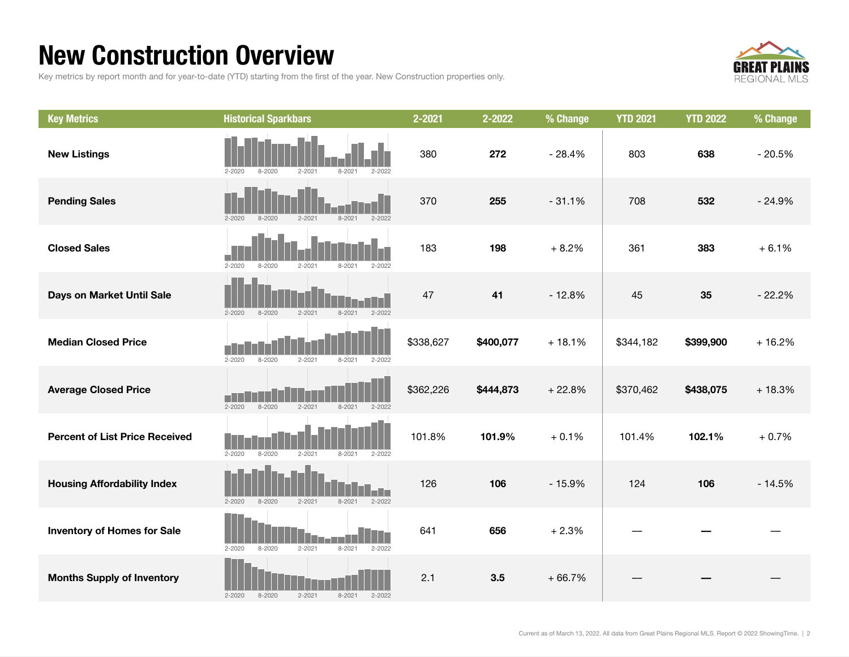## New Construction Overview

Key metrics by report month and for year-to-date (YTD) starting from the first of the year. New Construction properties only.



| <b>Key Metrics</b>                    | <b>Historical Sparkbars</b>                                        | 2-2021    | 2-2022    | % Change | <b>YTD 2021</b> | <b>YTD 2022</b> | % Change |
|---------------------------------------|--------------------------------------------------------------------|-----------|-----------|----------|-----------------|-----------------|----------|
| <b>New Listings</b>                   | $2 - 2020$<br>$8 - 2020$<br>$2 - 2021$<br>$8 - 2021$<br>$2 - 2022$ | 380       | 272       | $-28.4%$ | 803             | 638             | $-20.5%$ |
| <b>Pending Sales</b>                  | $2 - 2020$<br>$8 - 2020$<br>$2 - 2021$<br>$8 - 2021$<br>$2 - 2022$ | 370       | 255       | $-31.1%$ | 708             | 532             | $-24.9%$ |
| <b>Closed Sales</b>                   | $2 - 2020$<br>$8 - 2020$<br>$2 - 2021$<br>$8 - 2021$<br>2-2022     | 183       | 198       | $+8.2%$  | 361             | 383             | $+6.1%$  |
| Days on Market Until Sale             | $2 - 2021$<br>$2 - 2022$<br>$8 - 2020$<br>$8 - 2021$<br>$2 - 2020$ | 47        | 41        | $-12.8%$ | 45              | 35              | $-22.2%$ |
| <b>Median Closed Price</b>            | $2 - 2020$<br>$8 - 2020$<br>$8 - 2021$<br>$2 - 2021$<br>$2 - 2022$ | \$338,627 | \$400,077 | $+18.1%$ | \$344,182       | \$399,900       | $+16.2%$ |
| <b>Average Closed Price</b>           | $2 - 2020$<br>$8 - 2020$<br>$2 - 2021$<br>$8 - 2021$<br>$2 - 2022$ | \$362,226 | \$444,873 | $+22.8%$ | \$370,462       | \$438,075       | $+18.3%$ |
| <b>Percent of List Price Received</b> | $2 - 2020$<br>$8 - 2020$<br>$2 - 2021$<br>$8 - 2021$<br>$2 - 2022$ | 101.8%    | 101.9%    | $+0.1%$  | 101.4%          | 102.1%          | $+0.7%$  |
| <b>Housing Affordability Index</b>    | $2 - 2020$<br>$8 - 2020$<br>$2 - 2021$<br>$8 - 2021$<br>$2 - 2022$ | 126       | 106       | $-15.9%$ | 124             | 106             | $-14.5%$ |
| <b>Inventory of Homes for Sale</b>    | $2 - 2021$<br>$8 - 2021$<br>$2 - 2022$<br>$2 - 2020$<br>$8 - 2020$ | 641       | 656       | $+2.3%$  |                 |                 |          |
| <b>Months Supply of Inventory</b>     | $2 - 2021$<br>$2 - 2020$<br>$8 - 2020$<br>$8 - 2021$<br>$2 - 2022$ | 2.1       | 3.5       | $+66.7%$ |                 |                 |          |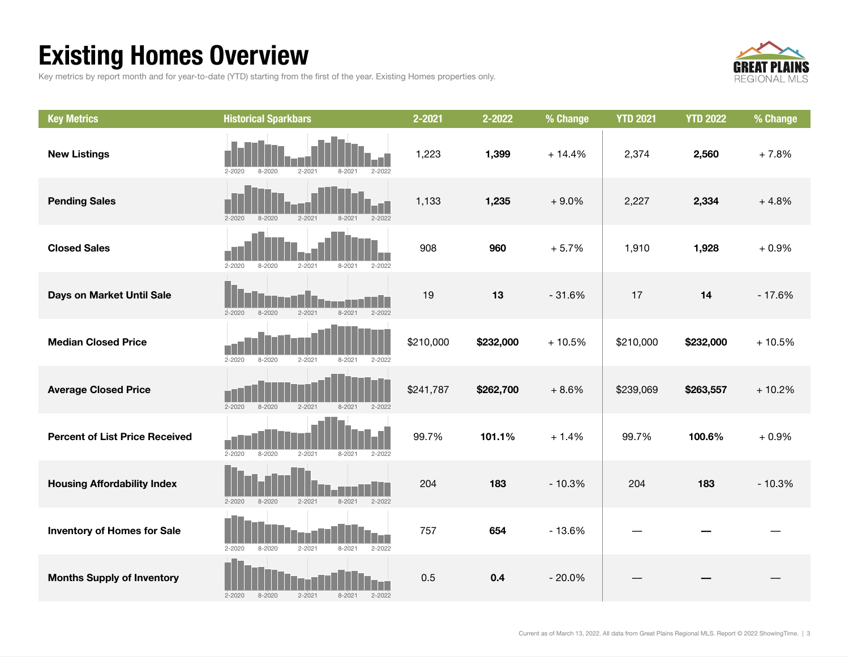## Existing Homes Overview

Key metrics by report month and for year-to-date (YTD) starting from the first of the year. Existing Homes properties only.



| <b>Key Metrics</b>                    | <b>Historical Sparkbars</b>                                        | 2-2021    | 2-2022    | % Change | <b>YTD 2021</b> | <b>YTD 2022</b> | % Change |
|---------------------------------------|--------------------------------------------------------------------|-----------|-----------|----------|-----------------|-----------------|----------|
| <b>New Listings</b>                   | $8 - 2020$<br>$2 - 2021$<br>$2 - 2022$<br>$2 - 2020$<br>$8 - 2021$ | 1,223     | 1,399     | $+14.4%$ | 2,374           | 2,560           | $+7.8%$  |
| <b>Pending Sales</b>                  | $2 - 2020$<br>$8 - 2020$<br>$2 - 2021$<br>$8 - 2021$<br>$2 - 2022$ | 1,133     | 1,235     | $+9.0%$  | 2,227           | 2,334           | $+4.8%$  |
| <b>Closed Sales</b>                   | $2 - 2020$<br>$8 - 2020$<br>$2 - 2021$<br>$8 - 2021$<br>$2 - 2022$ | 908       | 960       | $+5.7%$  | 1,910           | 1,928           | $+0.9%$  |
| Days on Market Until Sale             | $2 - 2021$<br>$8 - 2021$<br>$2 - 2022$<br>$2 - 2020$<br>$8 - 2020$ | 19        | 13        | $-31.6%$ | 17              | 14              | $-17.6%$ |
| <b>Median Closed Price</b>            | $2 - 2020$<br>$8 - 2020$<br>$2 - 2021$<br>$8 - 2021$<br>$2 - 2022$ | \$210,000 | \$232,000 | $+10.5%$ | \$210,000       | \$232,000       | $+10.5%$ |
| <b>Average Closed Price</b>           | $2 - 2020$<br>8-2020<br>$2 - 2021$<br>$8 - 2021$<br>$2 - 2022$     | \$241,787 | \$262,700 | $+8.6%$  | \$239,069       | \$263,557       | $+10.2%$ |
| <b>Percent of List Price Received</b> | $2 - 2020$<br>$8 - 2020$<br>$2 - 2021$<br>$8 - 2021$<br>$2 - 2022$ | 99.7%     | 101.1%    | $+1.4%$  | 99.7%           | 100.6%          | $+0.9%$  |
| <b>Housing Affordability Index</b>    | $2 - 2021$<br>$8 - 2021$<br>$2 - 2022$<br>$2 - 2020$<br>$8 - 2020$ | 204       | 183       | $-10.3%$ | 204             | 183             | $-10.3%$ |
| <b>Inventory of Homes for Sale</b>    | $2 - 2020$<br>$8 - 2020$<br>$2 - 2021$<br>$8 - 2021$<br>$2 - 2022$ | 757       | 654       | $-13.6%$ |                 |                 |          |
| <b>Months Supply of Inventory</b>     | $8 - 2020$<br>$2 - 2021$<br>$8 - 2021$<br>$2 - 2022$<br>$2 - 2020$ | 0.5       | 0.4       | $-20.0%$ |                 |                 |          |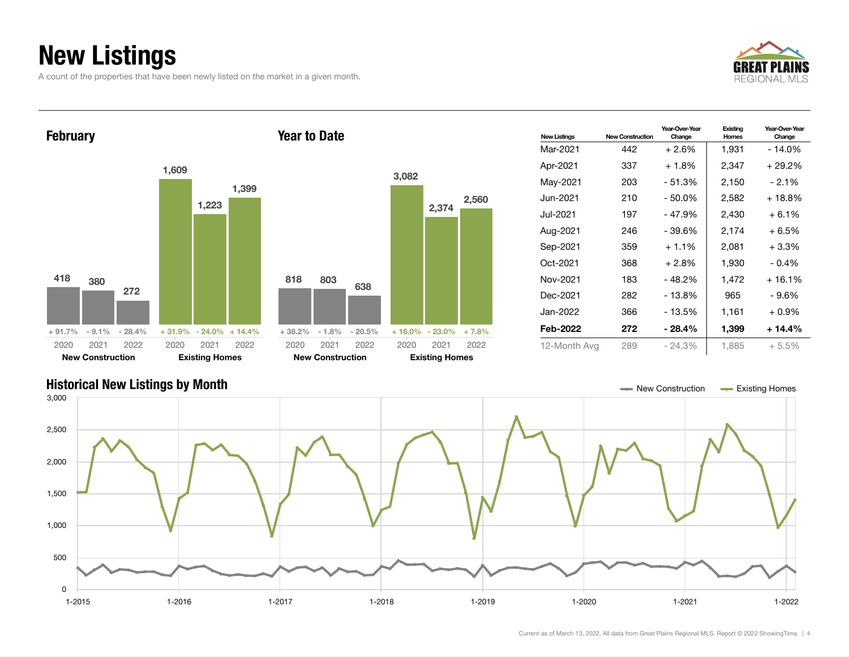## New Listings

A count of the properties that have been newly listed on the market in a given month.





### Historical New Listings by Month New Construction Accounts a Series of the Structure of the Existing Homes Construction Accounts Existing Homes 1-2015 1-2016 1-2017 1-2018 1-2019 1-2020 1-2021 1-2022  $\mathbf{0}$ 500 1,000 1,500 2,000 2,500 3,000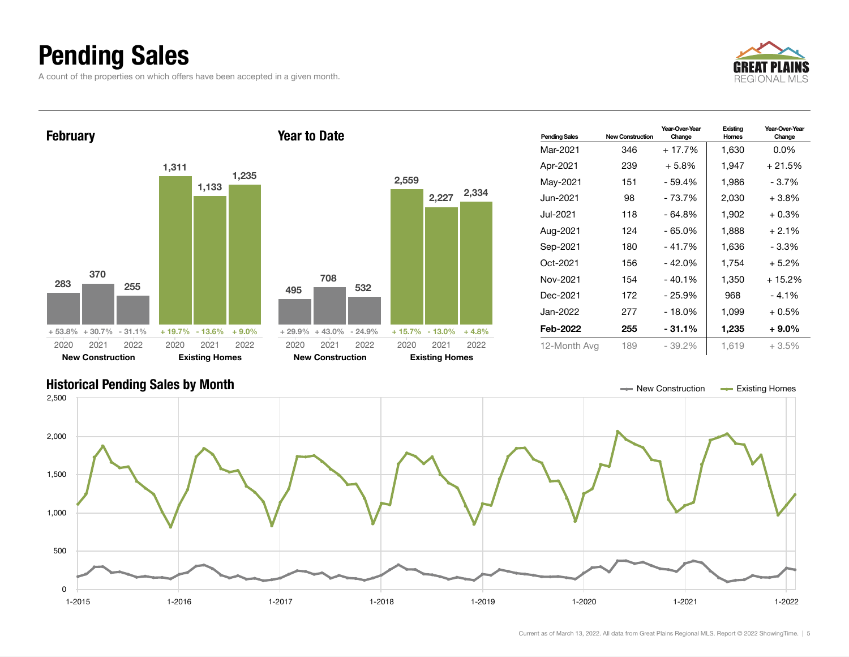## Pending Sales

A count of the properties on which offers have been accepted in a given month.





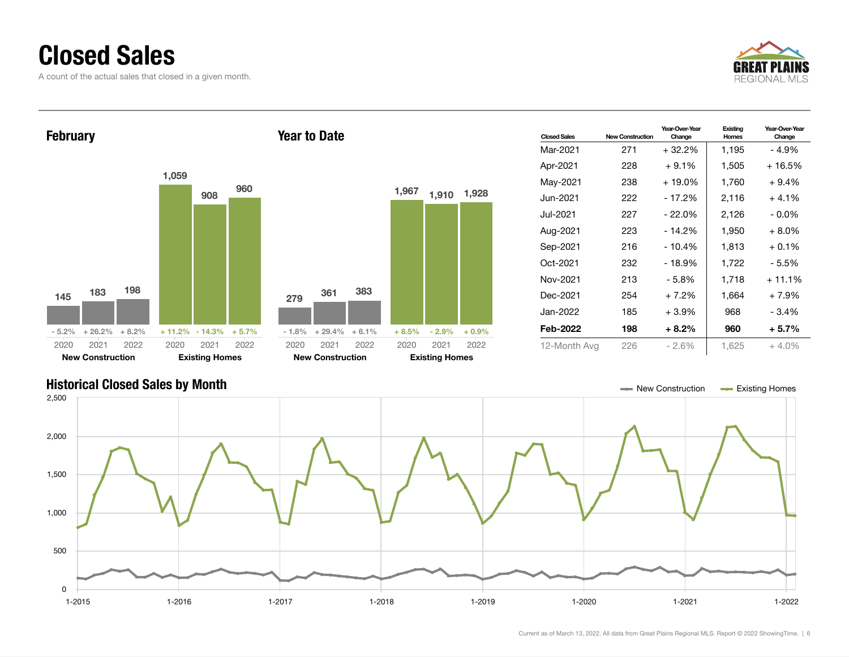### Closed Sales

A count of the actual sales that closed in a given month.





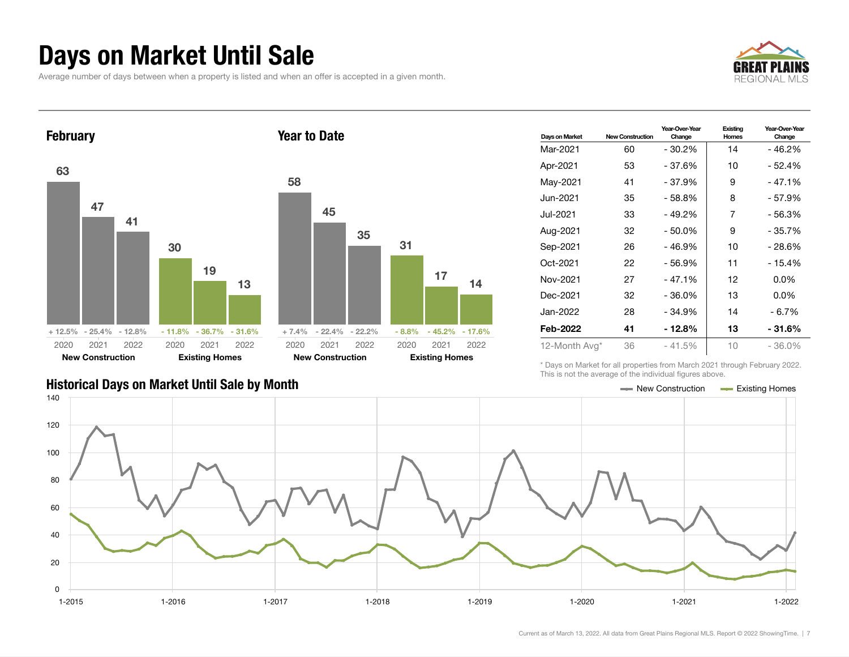### Days on Market Until Sale

Average number of days between when a property is listed and when an offer is accepted in a given month.





| 58   | 45                           |           |      |                            |    |
|------|------------------------------|-----------|------|----------------------------|----|
|      |                              | 35        | 31   |                            |    |
|      |                              |           |      | 17                         | 14 |
|      | $+7.4\%$ $-22.4\%$ $-22.2\%$ |           |      | $-8.8\% - 45.2\% - 17.6\%$ |    |
| 2020 |                              | 2021 2022 | 2020 | 2021 2022                  |    |
|      | <b>New Construction</b>      |           |      | <b>Existing Homes</b>      |    |

| Days on Market | <b>New Construction</b> | Year-Over-Year<br>Change | Existing<br>Homes | Year-Over-Year<br>Change |
|----------------|-------------------------|--------------------------|-------------------|--------------------------|
| Mar-2021       | 60                      | $-30.2%$                 | 14                | $-46.2%$                 |
| Apr-2021       | 53                      | - 37.6%                  | 10                | - 52.4%                  |
| May-2021       | 41                      | $-37.9%$                 | 9                 | - 47.1%                  |
| Jun-2021.      | 35                      | $-58.8%$                 | 8                 | $-57.9%$                 |
| Jul-2021.      | 33                      | - 49.2%                  | 7                 | - 56.3%                  |
| Aug-2021       | 32                      | $-50.0%$                 | 9                 | - 35.7%                  |
| Sep-2021       | 26                      | $-46.9%$                 | 10                | - 28.6%                  |
| Oct-2021       | 22                      | - 56.9%                  | 11                | - 15.4%                  |
| Nov-2021       | 27                      | $-47.1%$                 | 12                | $0.0\%$                  |
| Dec-2021       | 32                      | $-36.0%$                 | 13                | $0.0\%$                  |
| Jan-2022       | 28                      | $-34.9%$                 | 14                | - 6.7%                   |
| Feb-2022       | 41                      | - 12.8%                  | 13                | - 31.6%                  |
| 12-Month Avg*  | 36                      | $-41.5%$                 | 10                | $-36.0%$                 |

\* Days on Market for all properties from March 2021 through February 2022. This is not the average of the individual figures above.



### Historical Days on Market Until Sale by Month New York New York New York Market Until Sale by Month New York New Zonstruction And Existing Homes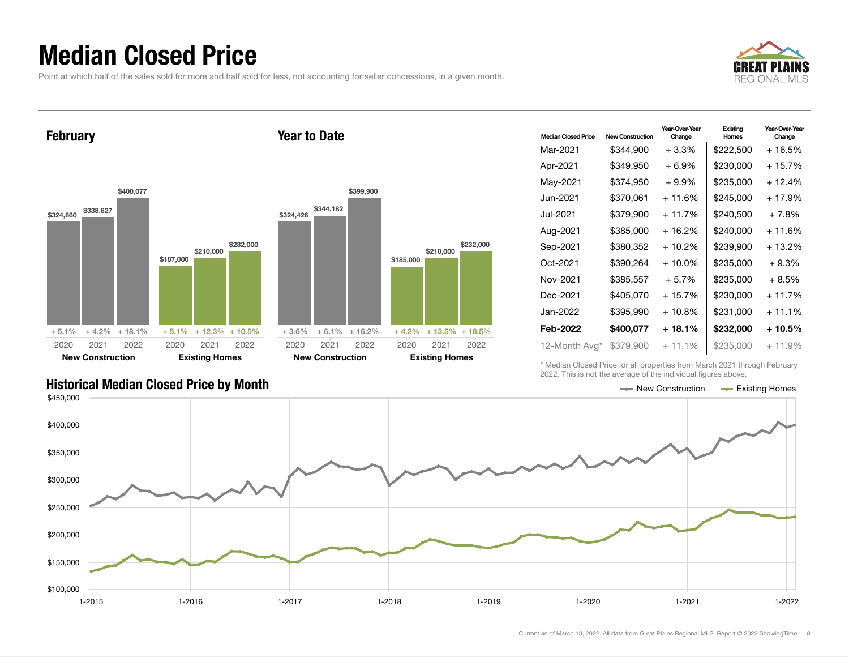### Median Closed Price

Point at which half of the sales sold for more and half sold for less, not accounting for seller concessions, in a given month.

Year to Date



February



| <b>Median Closed Price</b> | <b>New Construction</b> | Year-Over-Year<br>Change | Existing<br><b>Homes</b> | Year-Over-Year<br>Change |
|----------------------------|-------------------------|--------------------------|--------------------------|--------------------------|
| Mar-2021                   | \$344,900               | $+3.3\%$                 | \$222,500                | + 16.5%                  |
| Apr-2021                   | \$349.950               | $+6.9\%$                 | \$230,000                | + 15.7%                  |
| May-2021                   | \$374,950               | $+9.9\%$                 | \$235,000                | $+12.4%$                 |
| Jun-2021                   | \$370,061               | + 11.6%                  | \$245,000                | + 17.9%                  |
| Jul-2021                   | \$379,900               | $+11.7%$                 | \$240,500                | $+7.8%$                  |
| Aug-2021                   | \$385,000               | $+16.2%$                 | \$240,000                | + 11.6%                  |
| Sep-2021                   | \$380,352               | + 10.2%                  | \$239,900                | + 13.2%                  |
| Oct-2021                   | \$390,264               | $+10.0\%$                | \$235,000                | $+9.3%$                  |
| Nov-2021                   | \$385,557               | $+5.7%$                  | \$235,000                | $+8.5%$                  |
| Dec-2021                   | \$405,070               | $+15.7%$                 | \$230,000                | $+11.7%$                 |
| Jan-2022                   | \$395,990               | $+10.8%$                 | \$231,000                | $+11.1%$                 |
| Feb-2022                   | \$400,077               | + 18.1%                  | \$232,000                | + 10.5%                  |
| 12-Month Avg*              | \$379,900               | $+11.1%$                 | \$235,000                | $+11.9%$                 |

\* Median Closed Price for all properties from March 2021 through February 2022. This is not the average of the individual figures above.

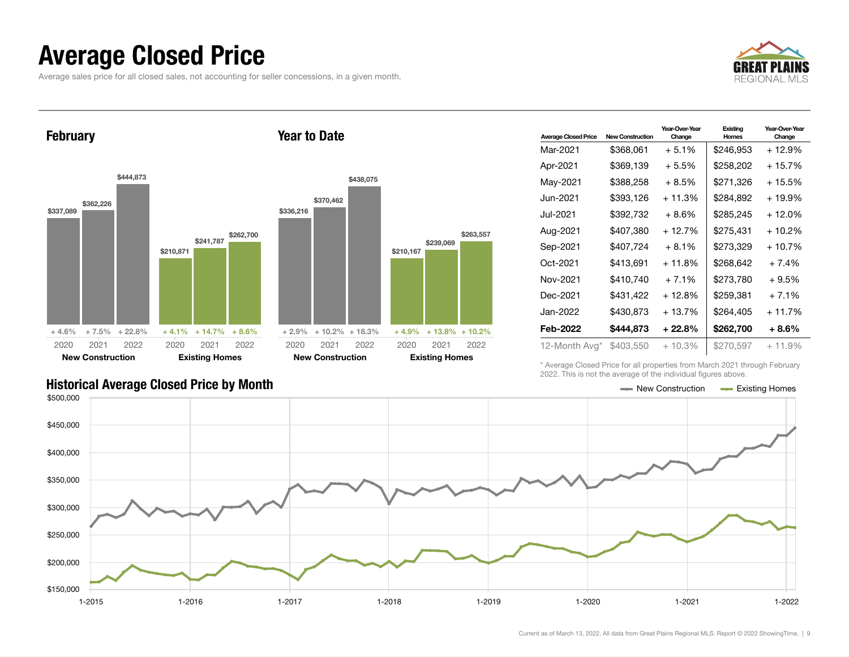## Average Closed Price

Average sales price for all closed sales, not accounting for seller concessions, in a given month.



February \$337,089 \$362,226 \$444,873  $+4.6\%$   $+7.5\%$   $+22.8\%$ \$210,871 \$241,787 \$262,700  $+4.1\% +14.7\%$ 2020 New Construction 2021 2022 2020 **Existing Hom** 2021 Year to Date \$336,216 \$370,462 2020 New Construction

| les       |           | <b>New Construction</b>    |           |           | <b>Existing Homes</b> |           |
|-----------|-----------|----------------------------|-----------|-----------|-----------------------|-----------|
| 2022      | 2020      | 2021                       | 2022      | 2020      | 2021                  | 2022      |
| $+8.6%$   |           | $+2.9\% + 10.2\% + 18.3\%$ |           | + 4.9%    | $+13.8\% + 10.2\%$    |           |
| \$262,700 | \$336,216 | \$370,462                  | \$438,075 | \$210,167 | \$239,069             | \$263,557 |

| <b>Average Closed Price</b> | <b>New Construction</b> | Year-Over-Year<br>Change | Existing<br>Homes | Year-Over-Year<br>Change |
|-----------------------------|-------------------------|--------------------------|-------------------|--------------------------|
| Mar-2021                    | \$368,061               | $+5.1%$                  | \$246,953         | + 12.9%                  |
| Apr-2021                    | \$369,139               | + 5.5%                   | \$258.202         | + 15.7%                  |
| May-2021                    | \$388,258               | $+8.5%$                  | \$271,326         | + 15.5%                  |
| Jun-2021.                   | \$393.126               | $+11.3%$                 | \$284,892         | $+19.9%$                 |
| Jul-2021.                   | \$392,732               | + 8.6%                   | \$285,245         | + 12.0%                  |
| Aug-2021                    | \$407,380               | + 12.7%                  | \$275,431         | + 10.2%                  |
| Sep-2021                    | \$407,724               | $+8.1%$                  | \$273.329         | + 10.7%                  |
| Oct-2021                    | \$413,691               | $+11.8%$                 | \$268,642         | $+7.4%$                  |
| Nov-2021                    | \$410,740               | $+7.1%$                  | \$273,780         | $+9.5%$                  |
| Dec-2021                    | \$431.422               | $+12.8%$                 | \$259.381         | $+7.1%$                  |
| Jan-2022.                   | \$430,873               | $+13.7%$                 | \$264,405         | $+11.7%$                 |
| Feb-2022                    | \$444.873               | + 22.8%                  | \$262,700         | $+8.6%$                  |
| 12-Month Avg*               | \$403,550               | $+10.3%$                 | \$270,597         | $+11.9%$                 |

\* Average Closed Price for all properties from March 2021 through February 2022. This is not the average of the individual figures above.

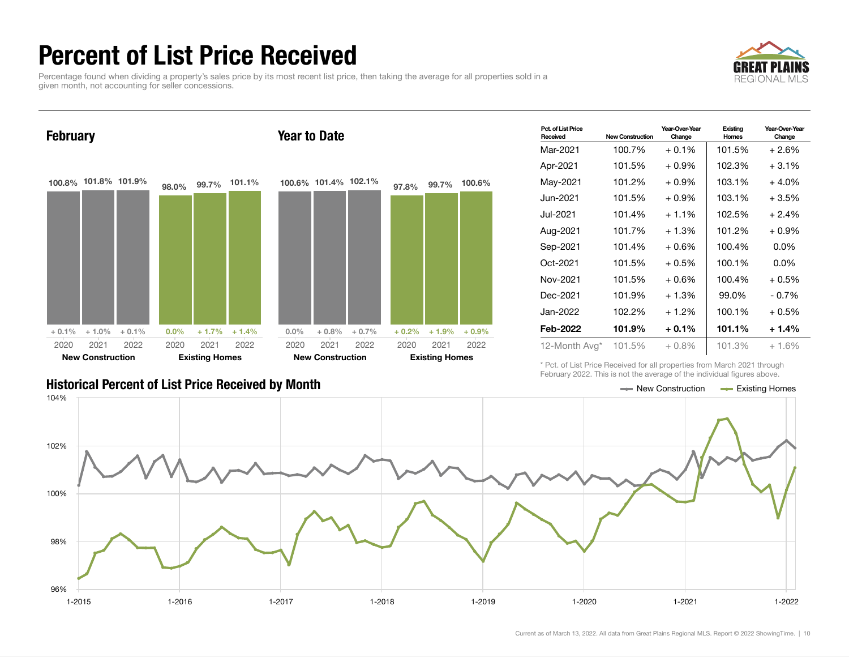## Percent of List Price Received

Percentage found when dividing a property's sales price by its most recent list price, then taking the average for all properties sold in a given month, not accounting for seller concessions.





| Pct. of List Price<br>Received | New Construction | Year-Over-Year<br>Change | Existing<br><b>Homes</b> | Year-Over-Year<br>Change |
|--------------------------------|------------------|--------------------------|--------------------------|--------------------------|
| Mar-2021                       | 100.7%           | $+0.1%$                  | 101.5%                   | $+2.6%$                  |
| Apr-2021                       | 101.5%           | $+0.9\%$                 | 102.3%                   | $+3.1%$                  |
| May-2021                       | 101.2%           | $+0.9\%$                 | 103.1%                   | $+4.0%$                  |
| Jun-2021.                      | 101.5%           | $+0.9\%$                 | 103.1%                   | $+3.5%$                  |
| Jul-2021.                      | 101.4%           | $+1.1\%$                 | 102.5%                   | $+2.4%$                  |
| Aug-2021                       | 101.7%           | $+1.3%$                  | 101.2%                   | $+0.9\%$                 |
| Sep-2021                       | 101.4%           | $+0.6\%$                 | 100.4%                   | 0.0%                     |
| Oct-2021                       | 101.5%           | $+0.5\%$                 | 100.1%                   | $0.0\%$                  |
| Nov-2021                       | 101.5%           | $+0.6\%$                 | 100.4%                   | $+0.5%$                  |
| Dec-2021                       | 101.9%           | $+1.3%$                  | 99.0%                    | $-0.7\%$                 |
| Jan-2022.                      | 102.2%           | $+1.2\%$                 | 100.1%                   | $+0.5%$                  |
| Feb-2022                       | 101.9%           | $+0.1\%$                 | 101.1%                   | $+1.4%$                  |
| 12-Month Avg*                  | 101.5%           | $+0.8\%$                 | 101.3%                   | $+1.6%$                  |

\* Pct. of List Price Received for all properties from March 2021 through February 2022. This is not the average of the individual figures above.



### Historical Percent of List Price Received by Month New York New York New York New York New York New York New York New York New York New York New York New York New York New York New York New York New York New York New York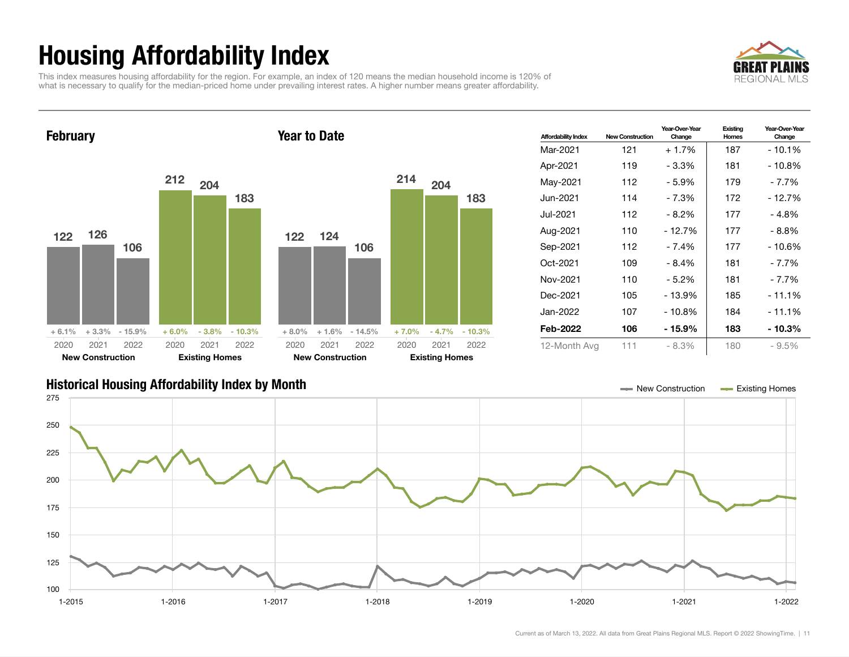## Housing Affordability Index

This index measures housing affordability for the region. For example, an index of 120 means the median household income is 120% of what is necessary to qualify for the median-priced home under prevailing interest rates. A higher number means greater affordability.





| <b>Affordability Index</b> | <b>New Construction</b> | Year-Over-Year<br>Change | Existing<br>Homes | Year-Over-Year<br>Change |
|----------------------------|-------------------------|--------------------------|-------------------|--------------------------|
| Mar-2021                   | 121                     | $+1.7%$                  | 187               | $-10.1\%$                |
| Apr-2021                   | 119                     | - 3.3%                   | 181               | - 10.8%                  |
| May-2021                   | 112                     | $-5.9%$                  | 179               | - 7.7%                   |
| Jun-2021 <b>.</b>          | 114                     | - 7.3%                   | 172               | - 12.7%                  |
| Jul-2021                   | 112                     | - 8.2%                   | 177               | - 4.8%                   |
| Aug-2021                   | 110                     | - 12.7%                  | 177               | - 8.8%                   |
| Sep-2021                   | 112                     | - 7.4%                   | 177               | - 10.6%                  |
| Oct-2021                   | 109                     | $-8.4%$                  | 181               | - 7.7%                   |
| Nov-2021                   | 110                     | - 5.2%                   | 181               | - 7.7%                   |
| Dec-2021                   | 105                     | $-13.9%$                 | 185               | $-11.1%$                 |
| Jan-2022.                  | 107                     | - 10.8%                  | 184               | - 11.1%                  |
| Feb-2022                   | 106                     | - 15.9%                  | 183               | - 10.3%                  |
| 12-Month Avg               | 111                     | $-8.3%$                  | 180               | $-9.5%$                  |

### Historical Housing Affordability Index by Month New Construction Existing Homes

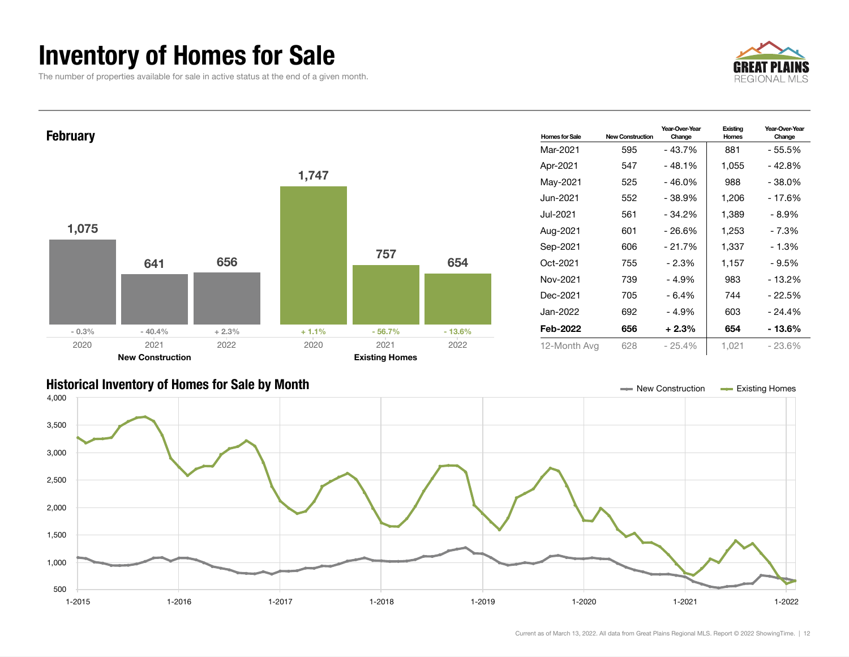## Inventory of Homes for Sale

The number of properties available for sale in active status at the end of a given month.





### Historical Inventory of Homes for Sale by Month New Construction Existing Homes

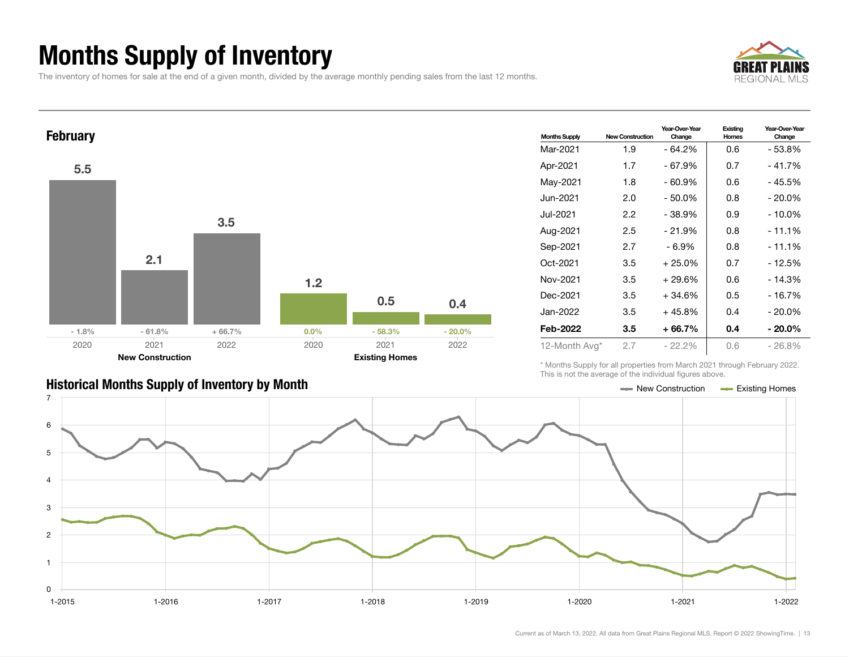## Months Supply of Inventory

The inventory of homes for sale at the end of a given month, divided by the average monthly pending sales from the last 12 months.





### Historical Months Supply of Inventory by Month New Construction Accounts Accounts Accounts Accounts Accounts Accounts Accounts Accounts Accounts Accounts Accounts Accounts Accounts Accounts Accounts Accounts Accounts Accou

| <b>Months Supply</b> | <b>New Construction</b> | Year-Over-Year<br>Change | Existing<br>Homes | Year-Over-Year<br>Change |  |
|----------------------|-------------------------|--------------------------|-------------------|--------------------------|--|
| Mar-2021             | 1.9                     | $-64.2%$                 | 0.6               | - 53.8%                  |  |
| Apr-2021             | 1.7                     | - 67.9%                  | 0.7               | - 41.7%                  |  |
| May-2021             | 1.8                     | - 60.9%                  | 0.6               | - 45.5%                  |  |
| Jun-2021             | 2.0                     | $-50.0%$                 | 0.8               | $-20.0\%$                |  |
| Jul-2021             | 2.2                     | $-38.9%$                 | 0.9               | $-10.0\%$                |  |
| Aug-2021             | 2.5                     | $-21.9%$                 | 0.8               | - 11.1%                  |  |
| Sep-2021             | 2.7                     | - 6.9%                   | 0.8               | $-11.1%$                 |  |
| Oct-2021             | 3.5                     | $+25.0%$                 | 0.7               | $-12.5%$                 |  |
| Nov-2021             | 3.5                     | $+29.6%$                 | 0.6               | $-14.3%$                 |  |
| Dec-2021             | 3.5                     | $+34.6%$                 | 0.5               | $-16.7%$                 |  |
| Jan-2022.            | 3.5                     | $+45.8%$                 | 0.4               | $-20.0\%$                |  |
| Feb-2022             | 3.5                     | $+66.7%$                 | 0.4               | $-20.0\%$                |  |
| 12-Month Avg*        | 2.7                     | $-22.2\%$                | 0.6               | - 26.8%                  |  |

\* Months Supply for all properties from March 2021 through February 2022. This is not the average of the individual figures above.